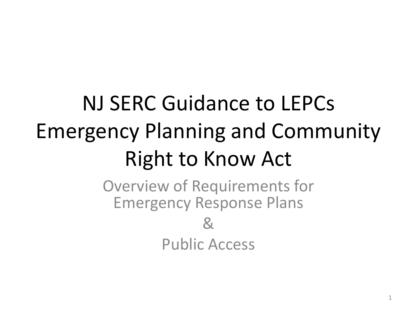# NJ SERC Guidance to LEPCs Emergency Planning and Community Right to Know Act

Overview of Requirements for Emergency Response Plans  $\mathbf{g}$ Public Access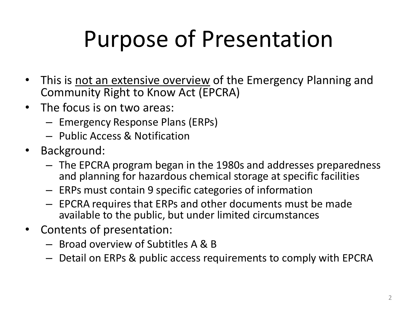# Purpose of Presentation

- This is not an extensive overview of the Emergency Planning and Community Right to Know Act (EPCRA)
- The focus is on two areas:
	- Emergency Response Plans (ERPs)
	- Public Access & Notification
- Background:
	- The EPCRA program began in the 1980s and addresses preparedness and planning for hazardous chemical storage at specific facilities
	- ERPs must contain 9 specific categories of information
	- EPCRA requires that ERPs and other documents must be made available to the public, but under limited circumstances
- Contents of presentation:
	- Broad overview of Subtitles A & B
	- Detail on ERPs & public access requirements to comply with EPCRA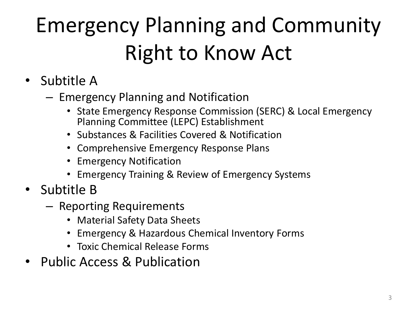# Emergency Planning and Community Right to Know Act

- Subtitle A
	- Emergency Planning and Notification
		- State Emergency Response Commission (SERC) & Local Emergency Planning Committee (LEPC) Establishment
		- Substances & Facilities Covered & Notification
		- Comprehensive Emergency Response Plans
		- Emergency Notification
		- Emergency Training & Review of Emergency Systems
- Subtitle B
	- Reporting Requirements
		- Material Safety Data Sheets
		- Emergency & Hazardous Chemical Inventory Forms
		- Toxic Chemical Release Forms
- Public Access & Publication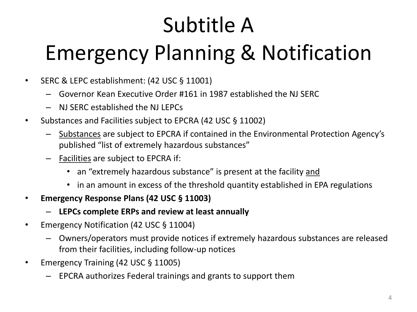# Subtitle A Emergency Planning & Notification

- SERC & LEPC establishment: (42 USC § 11001)
	- Governor Kean Executive Order #161 in 1987 established the NJ SERC
	- NJ SERC established the NJ LEPCs
- Substances and Facilities subject to EPCRA (42 USC § 11002)
	- Substances are subject to EPCRA if contained in the Environmental Protection Agency's published "list of extremely hazardous substances"
	- Facilities are subject to EPCRA if:
		- an "extremely hazardous substance" is present at the facility and
		- in an amount in excess of the threshold quantity established in EPA regulations
- **Emergency Response Plans (42 USC § 11003)** 
	- **LEPCs complete ERPs and review at least annually**
- Emergency Notification (42 USC § 11004)
	- Owners/operators must provide notices if extremely hazardous substances are released from their facilities, including follow-up notices
- Emergency Training (42 USC § 11005)
	- EPCRA authorizes Federal trainings and grants to support them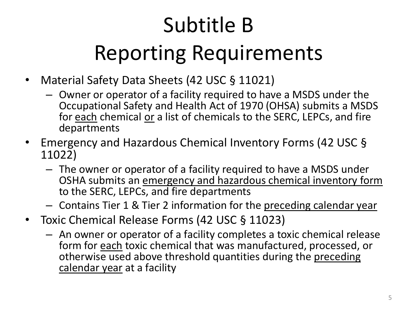# Subtitle B Reporting Requirements

- Material Safety Data Sheets (42 USC § 11021)
	- Owner or operator of a facility required to have a MSDS under the Occupational Safety and Health Act of 1970 (OHSA) submits a MSDS for each chemical or a list of chemicals to the SERC, LEPCs, and fire departments
- Emergency and Hazardous Chemical Inventory Forms (42 USC § 11022)
	- The owner or operator of a facility required to have a MSDS under OSHA submits an emergency and hazardous chemical inventory form to the SERC, LEPCs, and fire departments
	- Contains Tier 1 & Tier 2 information for the preceding calendar year
- Toxic Chemical Release Forms (42 USC § 11023)
	- An owner or operator of a facility completes a toxic chemical release form for each toxic chemical that was manufactured, processed, or otherwise used above threshold quantities during the preceding calendar year at a facility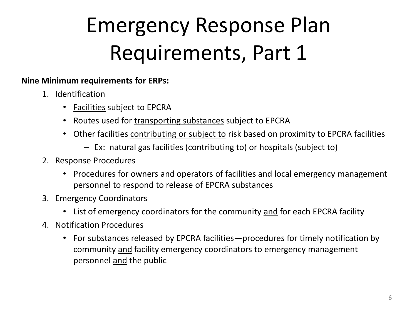### Emergency Response Plan Requirements, Part 1

#### **Nine Minimum requirements for ERPs:**

- 1. Identification
	- Facilities subject to EPCRA
	- Routes used for transporting substances subject to EPCRA
	- Other facilities contributing or subject to risk based on proximity to EPCRA facilities
		- Ex: natural gas facilities (contributing to) or hospitals (subject to)
- 2. Response Procedures
	- Procedures for owners and operators of facilities and local emergency management personnel to respond to release of EPCRA substances
- 3. Emergency Coordinators
	- List of emergency coordinators for the community and for each EPCRA facility
- 4. Notification Procedures
	- For substances released by EPCRA facilities—procedures for timely notification by community and facility emergency coordinators to emergency management personnel and the public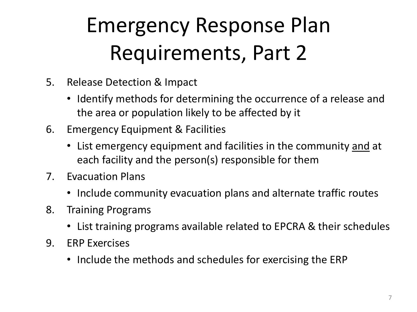### Emergency Response Plan Requirements, Part 2

- 5. Release Detection & Impact
	- Identify methods for determining the occurrence of a release and the area or population likely to be affected by it
- 6. Emergency Equipment & Facilities
	- List emergency equipment and facilities in the community and at each facility and the person(s) responsible for them
- 7. Evacuation Plans
	- Include community evacuation plans and alternate traffic routes
- 8. Training Programs
	- List training programs available related to EPCRA & their schedules
- 9. ERP Exercises
	- Include the methods and schedules for exercising the ERP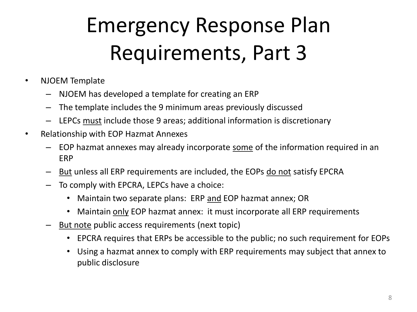#### Emergency Response Plan Requirements, Part 3

- NJOEM Template
	- NJOEM has developed a template for creating an ERP
	- The template includes the 9 minimum areas previously discussed
	- LEPCs must include those 9 areas; additional information is discretionary
- Relationship with EOP Hazmat Annexes
	- EOP hazmat annexes may already incorporate some of the information required in an ERP
	- But unless all ERP requirements are included, the EOPs do not satisfy EPCRA
	- To comply with EPCRA, LEPCs have a choice:
		- Maintain two separate plans: ERP and EOP hazmat annex; OR
		- Maintain only EOP hazmat annex: it must incorporate all ERP requirements
	- But note public access requirements (next topic)
		- EPCRA requires that ERPs be accessible to the public; no such requirement for EOPs
		- Using a hazmat annex to comply with ERP requirements may subject that annex to public disclosure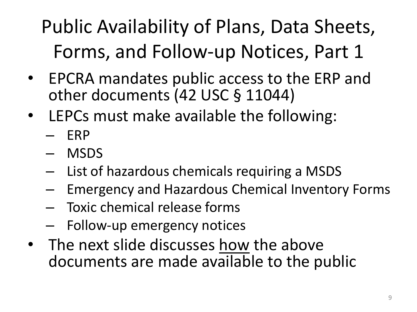#### Public Availability of Plans, Data Sheets, Forms, and Follow-up Notices, Part 1

- EPCRA mandates public access to the ERP and other documents (42 USC § 11044)
- LEPCs must make available the following:
	- ERP
	- MSDS
	- List of hazardous chemicals requiring a MSDS
	- Emergency and Hazardous Chemical Inventory Forms
	- Toxic chemical release forms
	- Follow-up emergency notices
- The next slide discusses how the above documents are made available to the public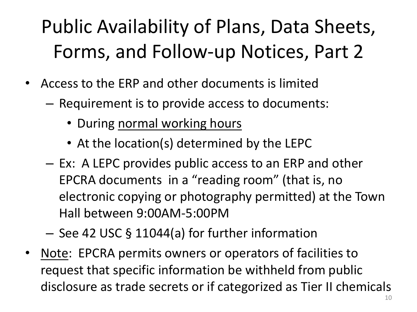#### Public Availability of Plans, Data Sheets, Forms, and Follow-up Notices, Part 2

- Access to the ERP and other documents is limited
	- Requirement is to provide access to documents:
		- During normal working hours
		- At the location(s) determined by the LEPC
	- Ex: A LEPC provides public access to an ERP and other EPCRA documents in a "reading room" (that is, no electronic copying or photography permitted) at the Town Hall between 9:00AM-5:00PM
	- See 42 USC § 11044(a) for further information
- Note: EPCRA permits owners or operators of facilities to request that specific information be withheld from public disclosure as trade secrets or if categorized as Tier II chemicals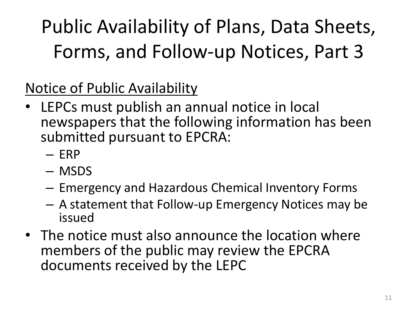Public Availability of Plans, Data Sheets, Forms, and Follow-up Notices, Part 3

Notice of Public Availability

- LEPCs must publish an annual notice in local newspapers that the following information has been submitted pursuant to EPCRA:
	- ERP
	- MSDS
	- Emergency and Hazardous Chemical Inventory Forms
	- A statement that Follow-up Emergency Notices may be issued
- The notice must also announce the location where members of the public may review the EPCRA documents received by the LEPC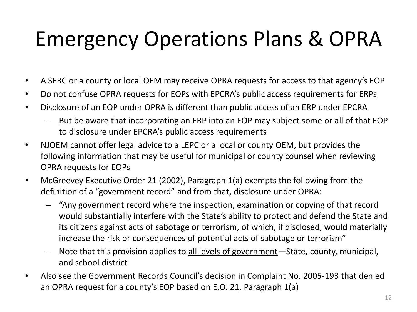#### Emergency Operations Plans & OPRA

- A SERC or a county or local OEM may receive OPRA requests for access to that agency's EOP
- Do not confuse OPRA requests for EOPs with EPCRA's public access requirements for ERPs
- Disclosure of an EOP under OPRA is different than public access of an ERP under EPCRA
	- But be aware that incorporating an ERP into an EOP may subject some or all of that EOP to disclosure under EPCRA's public access requirements
- NJOEM cannot offer legal advice to a LEPC or a local or county OEM, but provides the following information that may be useful for municipal or county counsel when reviewing OPRA requests for EOPs
- McGreevey Executive Order 21 (2002), Paragraph 1(a) exempts the following from the definition of a "government record" and from that, disclosure under OPRA:
	- "Any government record where the inspection, examination or copying of that record would substantially interfere with the State's ability to protect and defend the State and its citizens against acts of sabotage or terrorism, of which, if disclosed, would materially increase the risk or consequences of potential acts of sabotage or terrorism"
	- Note that this provision applies to all levels of government—State, county, municipal, and school district
- Also see the Government Records Council's decision in Complaint No. 2005-193 that denied an OPRA request for a county's EOP based on E.O. 21, Paragraph 1(a)